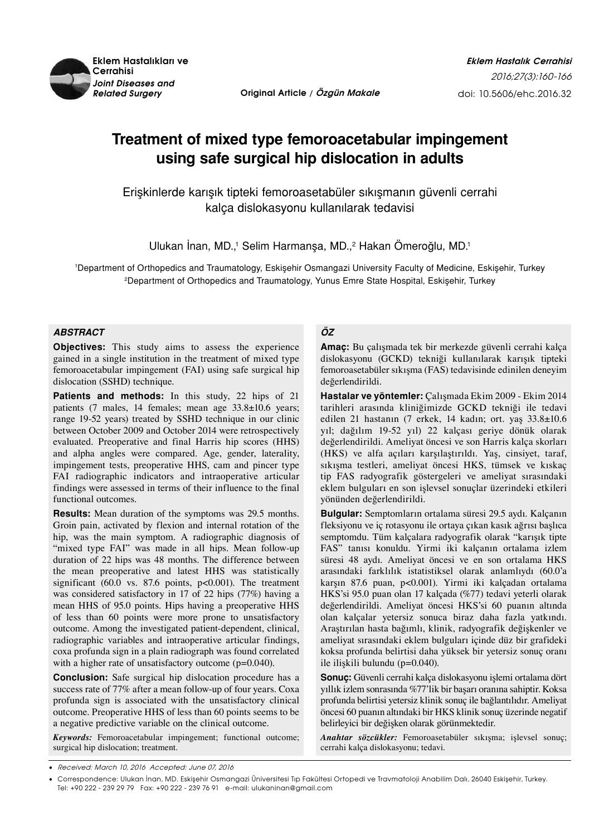

*Related Surgery* **Original Article / Özgün Makale**

# **Treatment of mixed type femoroacetabular impingement using safe surgical hip dislocation in adults**

Erişkinlerde karışık tipteki femoroasetabüler sıkışmanın güvenli cerrahi kalça dislokasyonu kullanılarak tedavisi

Ulukan Inan, MD.,<sup>1</sup> Selim Harmanşa, MD.,<sup>2</sup> Hakan Omeroğlu, MD.<sup>1</sup>

1 Department of Orthopedics and Traumatology, Eskişehir Osmangazi University Faculty of Medicine, Eskişehir, Turkey 2 Department of Orthopedics and Traumatology, Yunus Emre State Hospital, Eskişehir, Turkey

## *ABSTRACT*

**Objectives:** This study aims to assess the experience gained in a single institution in the treatment of mixed type femoroacetabular impingement (FAI) using safe surgical hip dislocation (SSHD) technique.

**Patients and methods:** In this study, 22 hips of 21 patients (7 males, 14 females; mean age 33.8±10.6 years; range 19-52 years) treated by SSHD technique in our clinic between October 2009 and October 2014 were retrospectively evaluated. Preoperative and final Harris hip scores (HHS) and alpha angles were compared. Age, gender, laterality, impingement tests, preoperative HHS, cam and pincer type FAI radiographic indicators and intraoperative articular findings were assessed in terms of their influence to the final functional outcomes.

**Results:** Mean duration of the symptoms was 29.5 months. Groin pain, activated by flexion and internal rotation of the hip, was the main symptom. A radiographic diagnosis of "mixed type FAI" was made in all hips. Mean follow-up duration of 22 hips was 48 months. The difference between the mean preoperative and latest HHS was statistically significant (60.0 vs. 87.6 points, p<0.001). The treatment was considered satisfactory in 17 of 22 hips (77%) having a mean HHS of 95.0 points. Hips having a preoperative HHS of less than 60 points were more prone to unsatisfactory outcome. Among the investigated patient-dependent, clinical, radiographic variables and intraoperative articular findings, coxa profunda sign in a plain radiograph was found correlated with a higher rate of unsatisfactory outcome (p=0.040).

**Conclusion:** Safe surgical hip dislocation procedure has a success rate of 77% after a mean follow-up of four years. Coxa profunda sign is associated with the unsatisfactory clinical outcome. Preoperative HHS of less than 60 points seems to be a negative predictive variable on the clinical outcome.

*Keywords:* Femoroacetabular impingement; functional outcome; surgical hip dislocation; treatment.

# *ÖZ*

**Amaç:** Bu çalışmada tek bir merkezde güvenli cerrahi kalça dislokasyonu (GCKD) tekniği kullanılarak karışık tipteki femoroasetabüler sıkışma (FAS) tedavisinde edinilen deneyim değerlendirildi.

**Hastalar ve yöntemler:** Çalışmada Ekim 2009 - Ekim 2014 tarihleri arasında kliniğimizde GCKD tekniği ile tedavi edilen 21 hastanın (7 erkek, 14 kadın; ort. yaş 33.8±10.6 yıl; dağılım 19-52 yıl) 22 kalçası geriye dönük olarak değerlendirildi. Ameliyat öncesi ve son Harris kalça skorları (HKS) ve alfa açıları karşılaştırıldı. Yaş, cinsiyet, taraf, sıkışma testleri, ameliyat öncesi HKS, tümsek ve kıskaç tip FAS radyografik göstergeleri ve ameliyat sırasındaki eklem bulguları en son işlevsel sonuçlar üzerindeki etkileri yönünden değerlendirildi.

**Bulgular:** Semptomların ortalama süresi 29.5 aydı. Kalçanın fleksiyonu ve iç rotasyonu ile ortaya çıkan kasık ağrısı başlıca semptomdu. Tüm kalçalara radyografik olarak "karışık tipte FAS" tanısı konuldu. Yirmi iki kalçanın ortalama izlem süresi 48 aydı. Ameliyat öncesi ve en son ortalama HKS arasındaki farklılık istatistiksel olarak anlamlıydı (60.0'a karşın 87.6 puan, p<0.001). Yirmi iki kalçadan ortalama HKS'si 95.0 puan olan 17 kalçada (%77) tedavi yeterli olarak değerlendirildi. Ameliyat öncesi HKS'si 60 puanın altında olan kalçalar yetersiz sonuca biraz daha fazla yatkındı. Araştırılan hasta bağımlı, klinik, radyografik değişkenler ve ameliyat sırasındaki eklem bulguları içinde düz bir grafideki koksa profunda belirtisi daha yüksek bir yetersiz sonuç oranı ile ilişkili bulundu (p=0.040).

**Sonuç:** Güvenli cerrahi kalça dislokasyonu işlemi ortalama dört yıllık izlem sonrasında %77'lik bir başarı oranına sahiptir. Koksa profunda belirtisi yetersiz klinik sonuç ile bağlantılıdır. Ameliyat öncesi 60 puanın altındaki bir HKS klinik sonuç üzerinde negatif belirleyici bir değişken olarak görünmektedir.

*Anahtar sözcükler:* Femoroasetabüler sıkışma; işlevsel sonuç; cerrahi kalça dislokasyonu; tedavi.

Received: March 10, 2016 Accepted: June 07, 2016

<sup>•</sup> Correspondence: Ulukan İnan, MD. Eskişehir Osmangazi Üniversitesi Tıp Fakültesi Ortopedi ve Travmatoloji Anabilim Dalı, 26040 Eskişehir, Turkey. Tel: +90 222 - 239 29 79 Fax: +90 222 - 239 76 91 e-mail: ulukaninan@gmail.com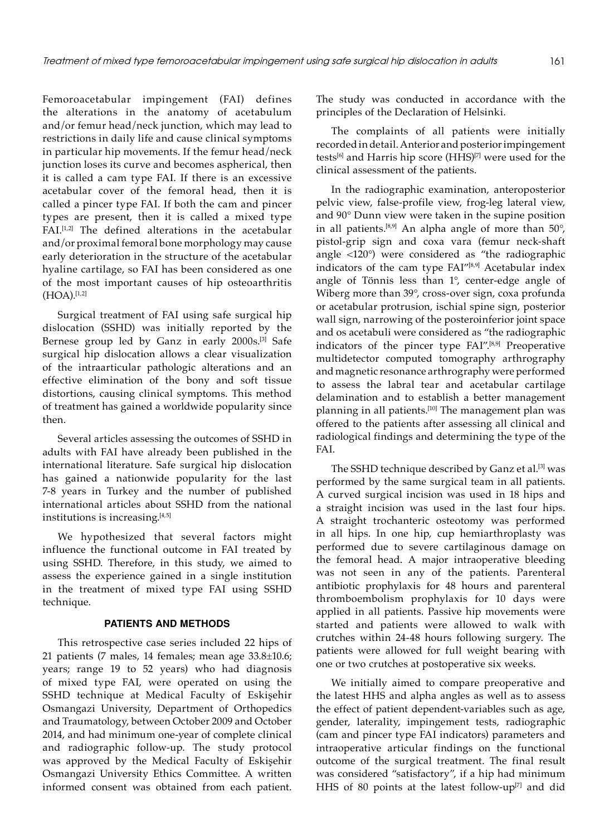Femoroacetabular impingement (FAI) defines the alterations in the anatomy of acetabulum and/or femur head/neck junction, which may lead to restrictions in daily life and cause clinical symptoms in particular hip movements. If the femur head/neck junction loses its curve and becomes aspherical, then it is called a cam type FAI. If there is an excessive acetabular cover of the femoral head, then it is called a pincer type FAI. If both the cam and pincer types are present, then it is called a mixed type FAI.[1,2] The defined alterations in the acetabular and/or proximal femoral bone morphology may cause early deterioration in the structure of the acetabular hyaline cartilage, so FAI has been considered as one of the most important causes of hip osteoarthritis  $(HOA).$ [1,2]

Surgical treatment of FAI using safe surgical hip dislocation (SSHD) was initially reported by the Bernese group led by Ganz in early 2000s.[3] Safe surgical hip dislocation allows a clear visualization of the intraarticular pathologic alterations and an effective elimination of the bony and soft tissue distortions, causing clinical symptoms. This method of treatment has gained a worldwide popularity since then.

Several articles assessing the outcomes of SSHD in adults with FAI have already been published in the international literature. Safe surgical hip dislocation has gained a nationwide popularity for the last 7-8 years in Turkey and the number of published international articles about SSHD from the national institutions is increasing.<sup>[4,5]</sup>

We hypothesized that several factors might influence the functional outcome in FAI treated by using SSHD. Therefore, in this study, we aimed to assess the experience gained in a single institution in the treatment of mixed type FAI using SSHD technique.

#### **PATIENTS AND METHODS**

This retrospective case series included 22 hips of 21 patients (7 males, 14 females; mean age 33.8±10.6; years; range 19 to 52 years) who had diagnosis of mixed type FAI, were operated on using the SSHD technique at Medical Faculty of Eskişehir Osmangazi University, Department of Orthopedics and Traumatology, between October 2009 and October 2014, and had minimum one-year of complete clinical and radiographic follow-up. The study protocol was approved by the Medical Faculty of Eskişehir Osmangazi University Ethics Committee. A written informed consent was obtained from each patient. The study was conducted in accordance with the principles of the Declaration of Helsinki.

The complaints of all patients were initially recorded in detail. Anterior and posterior impingement tests<sup>[6]</sup> and Harris hip score (HHS)<sup>[7]</sup> were used for the clinical assessment of the patients.

In the radiographic examination, anteroposterior pelvic view, false-profile view, frog-leg lateral view, and 90° Dunn view were taken in the supine position in all patients.<sup>[8,9]</sup> An alpha angle of more than  $50^{\circ}$ , pistol-grip sign and coxa vara (femur neck-shaft angle <120°) were considered as "the radiographic indicators of the cam type FAI"[8,9] Acetabular index angle of Tönnis less than 1°, center-edge angle of Wiberg more than 39°, cross-over sign, coxa profunda or acetabular protrusion, ischial spine sign, posterior wall sign, narrowing of the posteroinferior joint space and os acetabuli were considered as "the radiographic indicators of the pincer type FAI".[8,9] Preoperative multidetector computed tomography arthrography and magnetic resonance arthrography were performed to assess the labral tear and acetabular cartilage delamination and to establish a better management planning in all patients.<sup>[10]</sup> The management plan was offered to the patients after assessing all clinical and radiological findings and determining the type of the FAI.

The SSHD technique described by Ganz et al.<sup>[3]</sup> was performed by the same surgical team in all patients. A curved surgical incision was used in 18 hips and a straight incision was used in the last four hips. A straight trochanteric osteotomy was performed in all hips. In one hip, cup hemiarthroplasty was performed due to severe cartilaginous damage on the femoral head. A major intraoperative bleeding was not seen in any of the patients. Parenteral antibiotic prophylaxis for 48 hours and parenteral thromboembolism prophylaxis for 10 days were applied in all patients. Passive hip movements were started and patients were allowed to walk with crutches within 24-48 hours following surgery. The patients were allowed for full weight bearing with one or two crutches at postoperative six weeks.

We initially aimed to compare preoperative and the latest HHS and alpha angles as well as to assess the effect of patient dependent-variables such as age, gender, laterality, impingement tests, radiographic (cam and pincer type FAI indicators) parameters and intraoperative articular findings on the functional outcome of the surgical treatment. The final result was considered "satisfactory", if a hip had minimum HHS of 80 points at the latest follow-up $[7]$  and did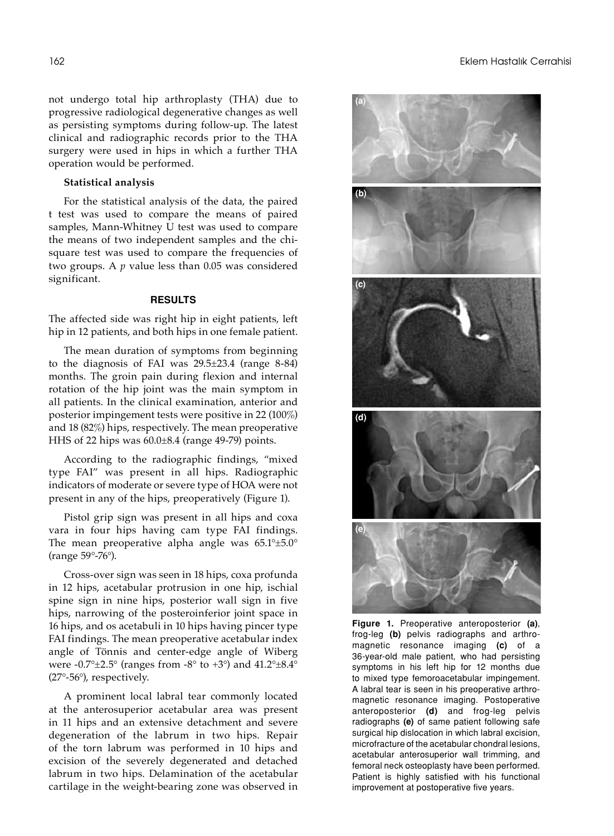not undergo total hip arthroplasty (THA) due to progressive radiological degenerative changes as well as persisting symptoms during follow-up. The latest clinical and radiographic records prior to the THA surgery were used in hips in which a further THA operation would be performed.

# **Statistical analysis**

For the statistical analysis of the data, the paired t test was used to compare the means of paired samples, Mann-Whitney U test was used to compare the means of two independent samples and the chisquare test was used to compare the frequencies of two groups. A *p* value less than 0.05 was considered significant.

# **RESULTS**

The affected side was right hip in eight patients, left hip in 12 patients, and both hips in one female patient.

The mean duration of symptoms from beginning to the diagnosis of FAI was 29.5±23.4 (range 8-84) months. The groin pain during flexion and internal rotation of the hip joint was the main symptom in all patients. In the clinical examination, anterior and posterior impingement tests were positive in 22 (100%) and 18 (82%) hips, respectively. The mean preoperative HHS of 22 hips was 60.0±8.4 (range 49-79) points.

According to the radiographic findings, "mixed type FAI" was present in all hips. Radiographic indicators of moderate or severe type of HOA were not present in any of the hips, preoperatively (Figure 1).

Pistol grip sign was present in all hips and coxa vara in four hips having cam type FAI findings. The mean preoperative alpha angle was 65.1°±5.0° (range 59°-76°).

Cross-over sign was seen in 18 hips, coxa profunda in 12 hips, acetabular protrusion in one hip, ischial spine sign in nine hips, posterior wall sign in five hips, narrowing of the posteroinferior joint space in 16 hips, and os acetabuli in 10 hips having pincer type FAI findings. The mean preoperative acetabular index angle of Tönnis and center-edge angle of Wiberg were -0.7° $\pm$ 2.5° (ranges from -8° to +3°) and 41.2° $\pm$ 8.4° (27°-56°), respectively.

A prominent local labral tear commonly located at the anterosuperior acetabular area was present in 11 hips and an extensive detachment and severe degeneration of the labrum in two hips. Repair of the torn labrum was performed in 10 hips and excision of the severely degenerated and detached labrum in two hips. Delamination of the acetabular cartilage in the weight-bearing zone was observed in



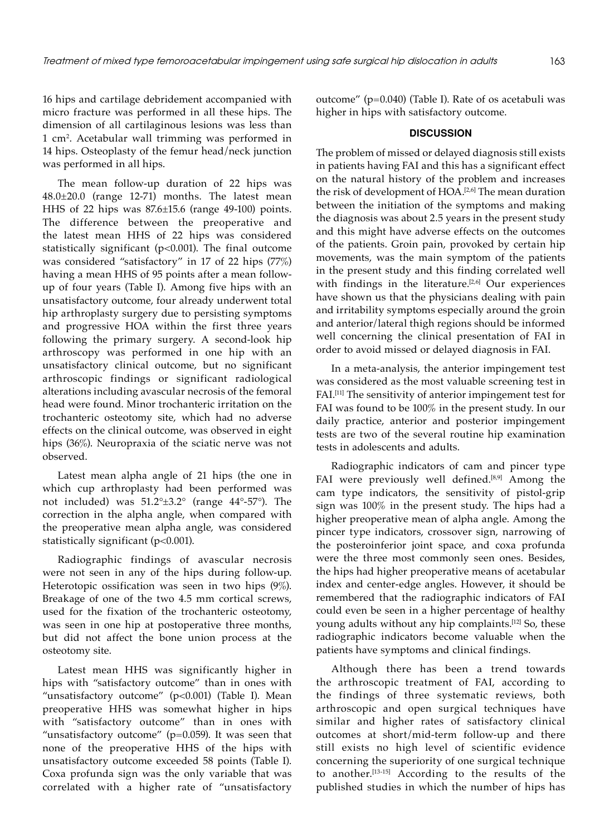16 hips and cartilage debridement accompanied with micro fracture was performed in all these hips. The dimension of all cartilaginous lesions was less than 1 cm2 . Acetabular wall trimming was performed in 14 hips. Osteoplasty of the femur head/neck junction was performed in all hips.

The mean follow-up duration of 22 hips was 48.0±20.0 (range 12-71) months. The latest mean HHS of 22 hips was 87.6±15.6 (range 49-100) points. The difference between the preoperative and the latest mean HHS of 22 hips was considered statistically significant (p<0.001). The final outcome was considered "satisfactory" in 17 of 22 hips (77%) having a mean HHS of 95 points after a mean followup of four years (Table I). Among five hips with an unsatisfactory outcome, four already underwent total hip arthroplasty surgery due to persisting symptoms and progressive HOA within the first three years following the primary surgery. A second-look hip arthroscopy was performed in one hip with an unsatisfactory clinical outcome, but no significant arthroscopic findings or significant radiological alterations including avascular necrosis of the femoral head were found. Minor trochanteric irritation on the trochanteric osteotomy site, which had no adverse effects on the clinical outcome, was observed in eight hips (36%). Neuropraxia of the sciatic nerve was not observed.

Latest mean alpha angle of 21 hips (the one in which cup arthroplasty had been performed was not included) was 51.2°±3.2° (range 44°-57°). The correction in the alpha angle, when compared with the preoperative mean alpha angle, was considered statistically significant (p<0.001).

Radiographic findings of avascular necrosis were not seen in any of the hips during follow-up. Heterotopic ossification was seen in two hips (9%). Breakage of one of the two 4.5 mm cortical screws, used for the fixation of the trochanteric osteotomy, was seen in one hip at postoperative three months, but did not affect the bone union process at the osteotomy site.

Latest mean HHS was significantly higher in hips with "satisfactory outcome" than in ones with "unsatisfactory outcome" (p<0.001) (Table I). Mean preoperative HHS was somewhat higher in hips with "satisfactory outcome" than in ones with "unsatisfactory outcome" ( $p=0.059$ ). It was seen that none of the preoperative HHS of the hips with unsatisfactory outcome exceeded 58 points (Table I). Coxa profunda sign was the only variable that was correlated with a higher rate of "unsatisfactory

outcome" (p=0.040) (Table I). Rate of os acetabuli was higher in hips with satisfactory outcome.

#### **DISCUSSION**

The problem of missed or delayed diagnosis still exists in patients having FAI and this has a significant effect on the natural history of the problem and increases the risk of development of HOA.<sup>[2,6]</sup> The mean duration between the initiation of the symptoms and making the diagnosis was about 2.5 years in the present study and this might have adverse effects on the outcomes of the patients. Groin pain, provoked by certain hip movements, was the main symptom of the patients in the present study and this finding correlated well with findings in the literature.<sup>[2,6]</sup> Our experiences have shown us that the physicians dealing with pain and irritability symptoms especially around the groin and anterior/lateral thigh regions should be informed well concerning the clinical presentation of FAI in order to avoid missed or delayed diagnosis in FAI.

In a meta-analysis, the anterior impingement test was considered as the most valuable screening test in FAI.[11] The sensitivity of anterior impingement test for FAI was found to be 100% in the present study. In our daily practice, anterior and posterior impingement tests are two of the several routine hip examination tests in adolescents and adults.

Radiographic indicators of cam and pincer type FAI were previously well defined.<sup>[8,9]</sup> Among the cam type indicators, the sensitivity of pistol-grip sign was 100% in the present study. The hips had a higher preoperative mean of alpha angle. Among the pincer type indicators, crossover sign, narrowing of the posteroinferior joint space, and coxa profunda were the three most commonly seen ones. Besides, the hips had higher preoperative means of acetabular index and center-edge angles. However, it should be remembered that the radiographic indicators of FAI could even be seen in a higher percentage of healthy young adults without any hip complaints.[12] So, these radiographic indicators become valuable when the patients have symptoms and clinical findings.

Although there has been a trend towards the arthroscopic treatment of FAI, according to the findings of three systematic reviews, both arthroscopic and open surgical techniques have similar and higher rates of satisfactory clinical outcomes at short/mid-term follow-up and there still exists no high level of scientific evidence concerning the superiority of one surgical technique to another.[13-15] According to the results of the published studies in which the number of hips has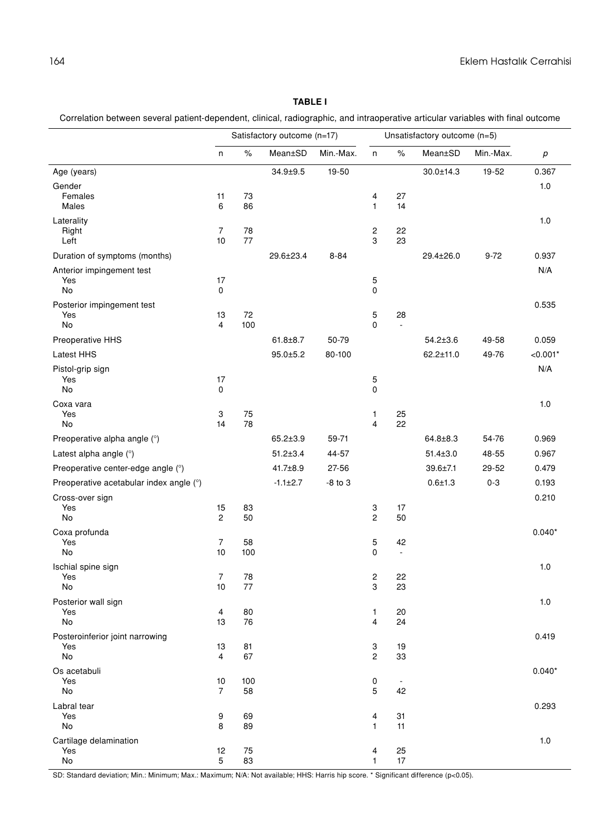# **Table I**

Correlation between several patient-dependent, clinical, radiographic, and intraoperative articular variables with final outcome

|                                              |                      | Satisfactory outcome (n=17) |                |             |                     | Unsatisfactory outcome (n=5)   |                |           |            |
|----------------------------------------------|----------------------|-----------------------------|----------------|-------------|---------------------|--------------------------------|----------------|-----------|------------|
|                                              | n                    | $\%$                        | Mean±SD        | Min.-Max.   | n                   | $\%$                           | Mean±SD        | Min.-Max. | $\rho$     |
| Age (years)                                  |                      |                             | $34.9 \pm 9.5$ | 19-50       |                     |                                | 30.0±14.3      | 19-52     | 0.367      |
| Gender<br>Females<br>Males                   | 11<br>6              | 73<br>86                    |                |             | 4<br>$\mathbf{1}$   | 27<br>14                       |                |           | 1.0        |
| Laterality<br>Right<br>Left                  | 7<br>10              | 78<br>77                    |                |             | 2<br>3              | 22<br>23                       |                |           | 1.0        |
| Duration of symptoms (months)                |                      |                             | 29.6±23.4      | $8 - 84$    |                     |                                | 29.4±26.0      | $9 - 72$  | 0.937      |
| Anterior impingement test<br>Yes<br>No       | 17<br>0              |                             |                |             | 5<br>0              |                                |                |           | N/A        |
| Posterior impingement test<br>Yes<br>No      | 13<br>$\overline{4}$ | 72<br>100                   |                |             | 5<br>$\Omega$       | 28<br>$\frac{1}{2}$            |                |           | 0.535      |
| Preoperative HHS                             |                      |                             | $61.8 \pm 8.7$ | 50-79       |                     |                                | $54.2 \pm 3.6$ | 49-58     | 0.059      |
| Latest HHS                                   |                      |                             | $95.0 \pm 5.2$ | 80-100      |                     |                                | 62.2±11.0      | 49-76     | $< 0.001*$ |
| Pistol-grip sign<br>Yes<br>No                | 17<br>0              |                             |                |             | 5<br>0              |                                |                |           | N/A        |
| Coxa vara<br>Yes<br>No                       | 3<br>14              | 75<br>78                    |                |             | 1<br>4              | 25<br>22                       |                |           | 1.0        |
| Preoperative alpha angle (°)                 |                      |                             | 65.2±3.9       | 59-71       |                     |                                | $64.8 \pm 8.3$ | 54-76     | 0.969      |
| Latest alpha angle (°)                       |                      |                             | $51.2 \pm 3.4$ | 44-57       |                     |                                | $51.4 \pm 3.0$ | 48-55     | 0.967      |
| Preoperative center-edge angle (°)           |                      |                             | 41.7±8.9       | 27-56       |                     |                                | 39.6±7.1       | 29-52     | 0.479      |
| Preoperative acetabular index angle (°)      |                      |                             | $-1.1 \pm 2.7$ | $-8$ to $3$ |                     |                                | $0.6 + 1.3$    | $0 - 3$   | 0.193      |
| Cross-over sign<br>Yes<br>No                 | 15<br>$\mathbf{2}$   | 83<br>50                    |                |             | 3<br>$\overline{c}$ | 17<br>50                       |                |           | 0.210      |
| Coxa profunda<br>Yes<br>No                   | $\overline{7}$<br>10 | 58<br>100                   |                |             | 5<br>0              | 42<br>$\overline{\phantom{a}}$ |                |           | $0.040*$   |
| Ischial spine sign<br>Yes<br>No              | 7<br>10              | 78<br>77                    |                |             | 2<br>3              | 22<br>23                       |                |           | 1.0        |
| Posterior wall sign<br>Yes<br>No             | 4<br>13              | 80<br>76                    |                |             | 1<br>4              | 20<br>24                       |                |           | 1.0        |
| Posteroinferior joint narrowing<br>Yes<br>No | 13<br>4              | 81<br>67                    |                |             | 3<br>2              | 19<br>33                       |                |           | 0.419      |
| Os acetabuli<br>Yes<br>No                    | 10<br>$\overline{7}$ | 100<br>58                   |                |             | 0<br>5              | $\overline{\phantom{a}}$<br>42 |                |           | $0.040*$   |
| Labral tear<br>Yes<br>No                     | 9<br>8               | 69<br>89                    |                |             | 4<br>1              | 31<br>11                       |                |           | 0.293      |
| Cartilage delamination<br>Yes<br>No          | 12<br>5              | 75<br>83                    |                |             | 4<br>$\mathbf{1}$   | 25<br>17                       |                |           | 1.0        |

SD: Standard deviation; Min.: Minimum; Max.: Maximum; N/A: Not available; HHS: Harris hip score. \* Significant difference (p<0.05).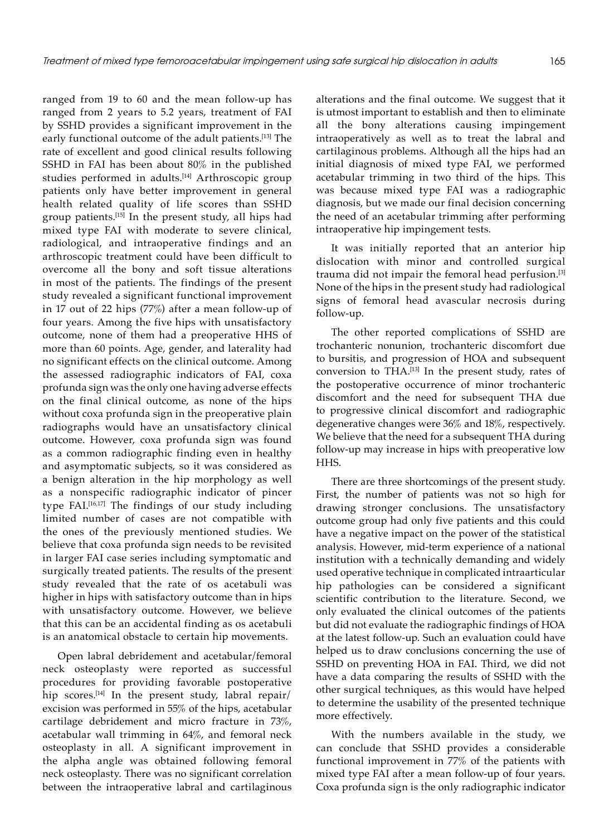ranged from 19 to 60 and the mean follow-up has ranged from 2 years to 5.2 years, treatment of FAI by SSHD provides a significant improvement in the early functional outcome of the adult patients.[13] The rate of excellent and good clinical results following SSHD in FAI has been about 80% in the published studies performed in adults.<sup>[14]</sup> Arthroscopic group patients only have better improvement in general health related quality of life scores than SSHD group patients.[15] In the present study, all hips had mixed type FAI with moderate to severe clinical, radiological, and intraoperative findings and an arthroscopic treatment could have been difficult to overcome all the bony and soft tissue alterations in most of the patients. The findings of the present study revealed a significant functional improvement in 17 out of 22 hips (77%) after a mean follow-up of four years. Among the five hips with unsatisfactory outcome, none of them had a preoperative HHS of more than 60 points. Age, gender, and laterality had no significant effects on the clinical outcome. Among the assessed radiographic indicators of FAI, coxa profunda sign was the only one having adverse effects on the final clinical outcome, as none of the hips without coxa profunda sign in the preoperative plain radiographs would have an unsatisfactory clinical outcome. However, coxa profunda sign was found as a common radiographic finding even in healthy and asymptomatic subjects, so it was considered as a benign alteration in the hip morphology as well as a nonspecific radiographic indicator of pincer type FAI.[16,17] The findings of our study including limited number of cases are not compatible with the ones of the previously mentioned studies. We believe that coxa profunda sign needs to be revisited in larger FAI case series including symptomatic and surgically treated patients. The results of the present study revealed that the rate of os acetabuli was higher in hips with satisfactory outcome than in hips with unsatisfactory outcome. However, we believe that this can be an accidental finding as os acetabuli is an anatomical obstacle to certain hip movements.

Open labral debridement and acetabular/femoral neck osteoplasty were reported as successful procedures for providing favorable postoperative hip scores.<sup>[14]</sup> In the present study, labral repair/ excision was performed in 55% of the hips, acetabular cartilage debridement and micro fracture in 73%, acetabular wall trimming in 64%, and femoral neck osteoplasty in all. A significant improvement in the alpha angle was obtained following femoral neck osteoplasty. There was no significant correlation between the intraoperative labral and cartilaginous alterations and the final outcome. We suggest that it is utmost important to establish and then to eliminate all the bony alterations causing impingement intraoperatively as well as to treat the labral and cartilaginous problems. Although all the hips had an initial diagnosis of mixed type FAI, we performed acetabular trimming in two third of the hips. This was because mixed type FAI was a radiographic diagnosis, but we made our final decision concerning the need of an acetabular trimming after performing intraoperative hip impingement tests.

It was initially reported that an anterior hip dislocation with minor and controlled surgical trauma did not impair the femoral head perfusion.[3] None of the hips in the present study had radiological signs of femoral head avascular necrosis during follow-up.

The other reported complications of SSHD are trochanteric nonunion, trochanteric discomfort due to bursitis, and progression of HOA and subsequent conversion to THA.[13] In the present study, rates of the postoperative occurrence of minor trochanteric discomfort and the need for subsequent THA due to progressive clinical discomfort and radiographic degenerative changes were 36% and 18%, respectively. We believe that the need for a subsequent THA during follow-up may increase in hips with preoperative low HHS.

There are three shortcomings of the present study. First, the number of patients was not so high for drawing stronger conclusions. The unsatisfactory outcome group had only five patients and this could have a negative impact on the power of the statistical analysis. However, mid-term experience of a national institution with a technically demanding and widely used operative technique in complicated intraarticular hip pathologies can be considered a significant scientific contribution to the literature. Second, we only evaluated the clinical outcomes of the patients but did not evaluate the radiographic findings of HOA at the latest follow-up. Such an evaluation could have helped us to draw conclusions concerning the use of SSHD on preventing HOA in FAI. Third, we did not have a data comparing the results of SSHD with the other surgical techniques, as this would have helped to determine the usability of the presented technique more effectively.

With the numbers available in the study, we can conclude that SSHD provides a considerable functional improvement in 77% of the patients with mixed type FAI after a mean follow-up of four years. Coxa profunda sign is the only radiographic indicator